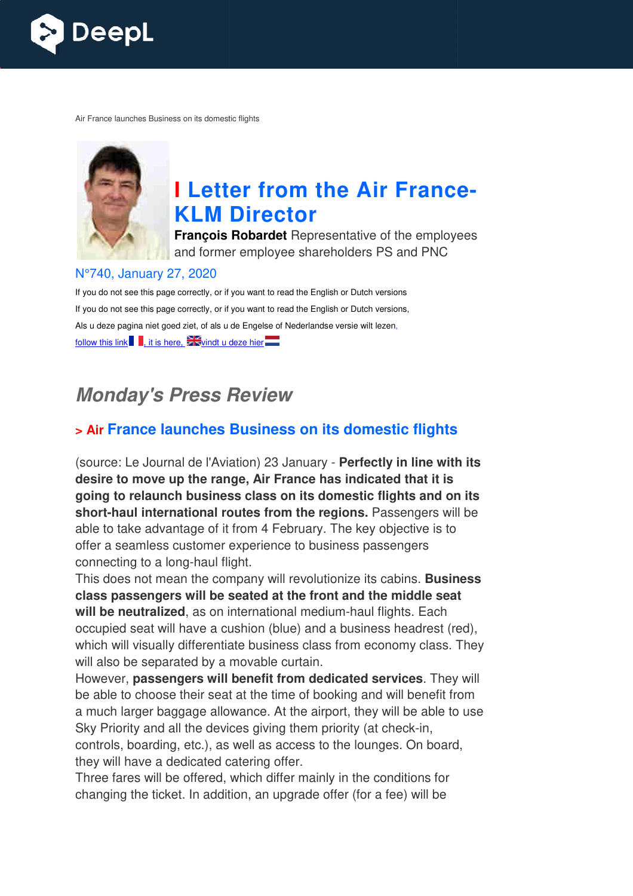

Air France launches Business on its domestic flights



# **I** Letter from the Air France-**KLM Director**

**François Robardet** Representative of the employees and former employee shareholders PS and PNC

#### N°740, January 27, 2020

If you do not see this page correctly, or if you want to read the English or Dutch versions If you do not see this page correctly, or if you want to read the English or Dutch versions, Als u deze pagina niet goed ziet, of als u de Engelse of Nederlandse versie wilt lezen, follow this link  $\blacksquare$ , it is here,  $\mathbb{Z}$  vindt u deze hier

## **Monday's Press Review**

### **> Air France launches Business on its domestic flights**

(source: Le Journal de l'Aviation) 23 January - **Perfectly in line with its desire to move up the range, Air France has indicated that it is going to relaunch business class on its domestic flights and on its**  short-haul international routes from the regions. Passengers will be able to take advantage of it from 4 February. The key objective is to offer a seamless customer experience to business passengers connecting to a long-haul flight. ye of it<br>tomer e<br>haul flig

This does not mean the company will revolutionize its cabins. **Business**  class passengers will be seated at the front and the middle seat will be neutralized, as on international medium-haul flights. Each occupied seat will have a cushion (blue) and a business headrest (red), which will visually differentiate business class from economy class. They will also be separated by a movable curtain.

However, **passengers will benefit from dedicated services** . They will be able to choose their seat at the time of booking and will benefit from a much larger baggage allowance. At the airport, they will be able to use Sky Priority and all the devices giving them priority (at check-in, controls, boarding, etc.), as well as access to the lounges. On board, they will have a dedicated catering offer.

Three fares will be offered, which differ mainly in the conditions for changing the ticket. In addition, an upgrade offer (for a fee) will be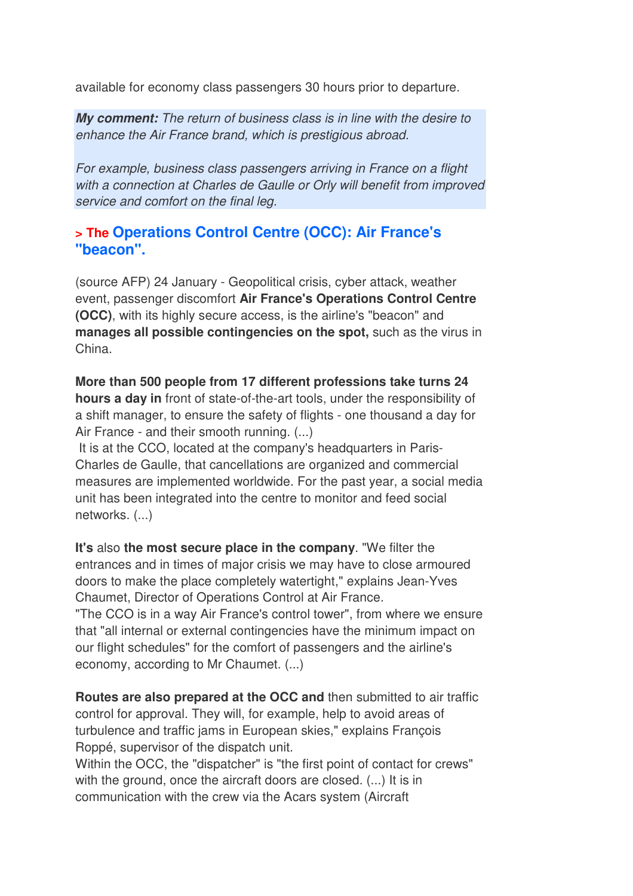available for economy class passengers 30 hours prior to departure.

**My comment:** The return of business class is in line with the desire to enhance the Air France brand, which is prestigious abroad.

For example, business class passengers arriving in France on a flight with a connection at Charles de Gaulle or Orly will benefit from improved service and comfort on the final leg.

### **> The Operations Control Centre (OCC): Air France's "beacon".**

(source AFP) 24 January - Geopolitical crisis, cyber attack, weather event, passenger discomfort **Air France's Operations Control Centre (OCC)**, with its highly secure access, is the airline's "beacon" and **manages all possible contingencies on the spot,** such as the virus in China.

**More than 500 people from 17 different professions take turns 24 hours a day in** front of state-of-the-art tools, under the responsibility of a shift manager, to ensure the safety of flights - one thousand a day for Air France - and their smooth running. (...)

 It is at the CCO, located at the company's headquarters in Paris-Charles de Gaulle, that cancellations are organized and commercial measures are implemented worldwide. For the past year, a social media unit has been integrated into the centre to monitor and feed social networks. (...)

**It's** also **the most secure place in the company**. "We filter the entrances and in times of major crisis we may have to close armoured doors to make the place completely watertight," explains Jean-Yves Chaumet, Director of Operations Control at Air France. "The CCO is in a way Air France's control tower", from where we ensure that "all internal or external contingencies have the minimum impact on our flight schedules" for the comfort of passengers and the airline's economy, according to Mr Chaumet. (...)

**Routes are also prepared at the OCC and** then submitted to air traffic control for approval. They will, for example, help to avoid areas of turbulence and traffic jams in European skies," explains François Roppé, supervisor of the dispatch unit.

Within the OCC, the "dispatcher" is "the first point of contact for crews" with the ground, once the aircraft doors are closed. (...) It is in communication with the crew via the Acars system (Aircraft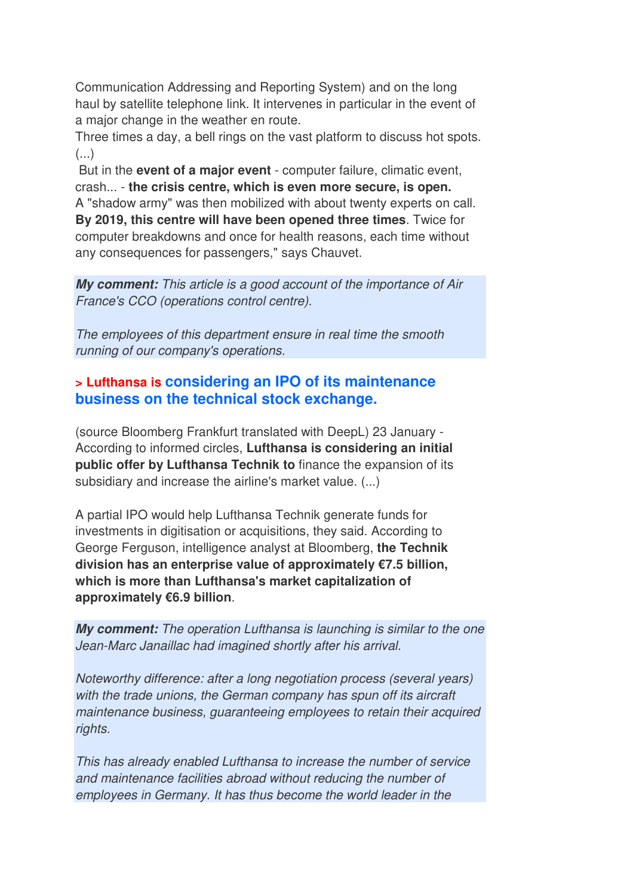Communication Addressing and Reporting System) and on the long haul by satellite telephone link. It intervenes in particular in the event of a major change in the weather en route.

Three times a day, a bell rings on the vast platform to discuss hot spots. (...)

 But in the **event of a major event** - computer failure, climatic event, crash... - **the crisis centre, which is even more secure, is open.**  A "shadow army" was then mobilized with about twenty experts on call. **By 2019, this centre will have been opened three times**. Twice for computer breakdowns and once for health reasons, each time without any consequences for passengers," says Chauvet.

**My comment:** This article is a good account of the importance of Air France's CCO (operations control centre).

The employees of this department ensure in real time the smooth running of our company's operations.

## **> Lufthansa is considering an IPO of its maintenance business on the technical stock exchange.**

(source Bloomberg Frankfurt translated with DeepL) 23 January - According to informed circles, **Lufthansa is considering an initial public offer by Lufthansa Technik to** finance the expansion of its subsidiary and increase the airline's market value. (...)

A partial IPO would help Lufthansa Technik generate funds for investments in digitisation or acquisitions, they said. According to George Ferguson, intelligence analyst at Bloomberg, **the Technik division has an enterprise value of approximately €7.5 billion, which is more than Lufthansa's market capitalization of approximately €6.9 billion**.

**My comment:** The operation Lufthansa is launching is similar to the one Jean-Marc Janaillac had imagined shortly after his arrival.

Noteworthy difference: after a long negotiation process (several years) with the trade unions, the German company has spun off its aircraft maintenance business, guaranteeing employees to retain their acquired rights.

This has already enabled Lufthansa to increase the number of service and maintenance facilities abroad without reducing the number of employees in Germany. It has thus become the world leader in the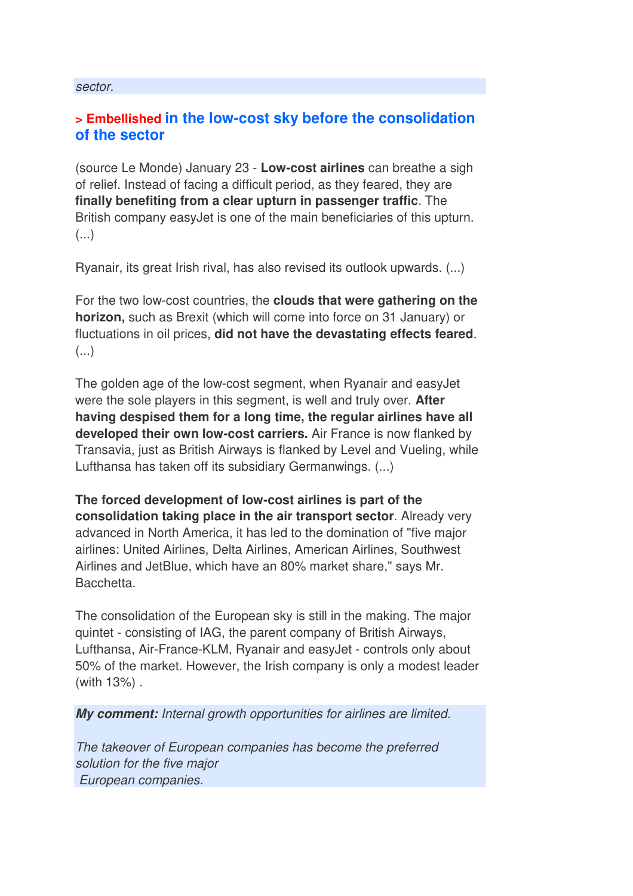#### sector.

#### **> Embellished in the low-cost sky before the consolidation of the sector**

(source Le Monde) January 23 - **Low-cost airlines** can breathe a sigh of relief. Instead of facing a difficult period, as they feared, they are **finally benefiting from a clear upturn in passenger traffic**. The British company easyJet is one of the main beneficiaries of this upturn.  $\left(\ldots\right)$ 

Ryanair, its great Irish rival, has also revised its outlook upwards. (...)

For the two low-cost countries, the **clouds that were gathering on the horizon,** such as Brexit (which will come into force on 31 January) or fluctuations in oil prices, **did not have the devastating effects feared**. (...)

The golden age of the low-cost segment, when Ryanair and easyJet were the sole players in this segment, is well and truly over. **After having despised them for a long time, the regular airlines have all developed their own low-cost carriers.** Air France is now flanked by Transavia, just as British Airways is flanked by Level and Vueling, while Lufthansa has taken off its subsidiary Germanwings. (...)

**The forced development of low-cost airlines is part of the consolidation taking place in the air transport sector**. Already very advanced in North America, it has led to the domination of "five major airlines: United Airlines, Delta Airlines, American Airlines, Southwest Airlines and JetBlue, which have an 80% market share," says Mr. Bacchetta.

The consolidation of the European sky is still in the making. The major quintet - consisting of IAG, the parent company of British Airways, Lufthansa, Air-France-KLM, Ryanair and easyJet - controls only about 50% of the market. However, the Irish company is only a modest leader (with 13%) .

**My comment:** Internal growth opportunities for airlines are limited.

The takeover of European companies has become the preferred solution for the five major European companies.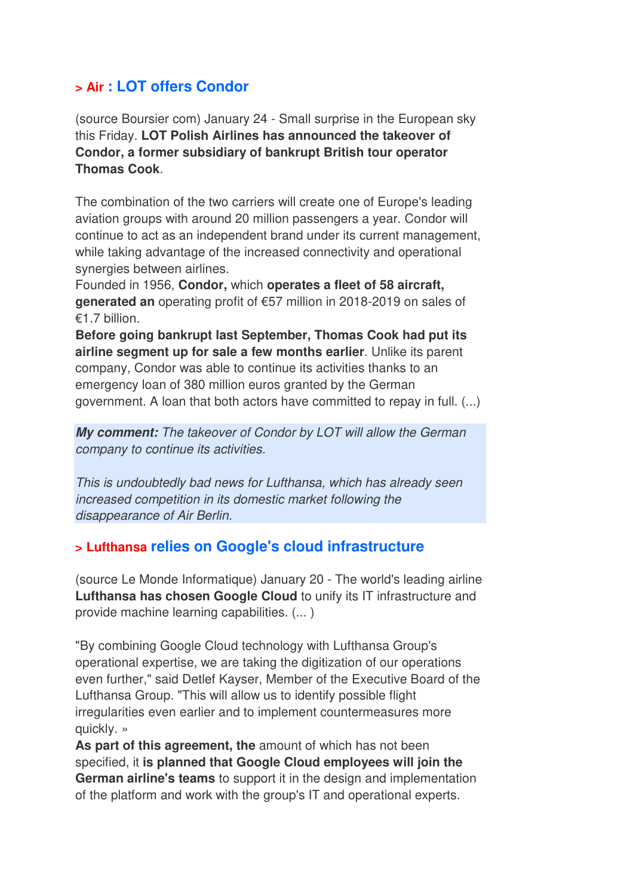### **> Air : LOT offers Condor**

(source Boursier com) January 24 - Small surprise in the European sky this Friday. **LOT Polish Airlines has announced the takeover of Condor, a former subsidiary of bankrupt British tour operator Thomas Cook**.

The combination of the two carriers will create one of Europe's leading aviation groups with around 20 million passengers a year. Condor will continue to act as an independent brand under its current management, while taking advantage of the increased connectivity and operational synergies between airlines.

Founded in 1956, **Condor,** which **operates a fleet of 58 aircraft, generated an** operating profit of €57 million in 2018-2019 on sales of €1.7 billion.

**Before going bankrupt last September, Thomas Cook had put its airline segment up for sale a few months earlier**. Unlike its parent company, Condor was able to continue its activities thanks to an emergency loan of 380 million euros granted by the German government. A loan that both actors have committed to repay in full. (...)

**My comment:** The takeover of Condor by LOT will allow the German company to continue its activities.

This is undoubtedly bad news for Lufthansa, which has already seen increased competition in its domestic market following the disappearance of Air Berlin.

#### **> Lufthansa relies on Google's cloud infrastructure**

(source Le Monde Informatique) January 20 - The world's leading airline **Lufthansa has chosen Google Cloud** to unify its IT infrastructure and provide machine learning capabilities. (... )

"By combining Google Cloud technology with Lufthansa Group's operational expertise, we are taking the digitization of our operations even further," said Detlef Kayser, Member of the Executive Board of the Lufthansa Group. "This will allow us to identify possible flight irregularities even earlier and to implement countermeasures more quickly. »

**As part of this agreement, the** amount of which has not been specified, it **is planned that Google Cloud employees will join the German airline's teams** to support it in the design and implementation of the platform and work with the group's IT and operational experts.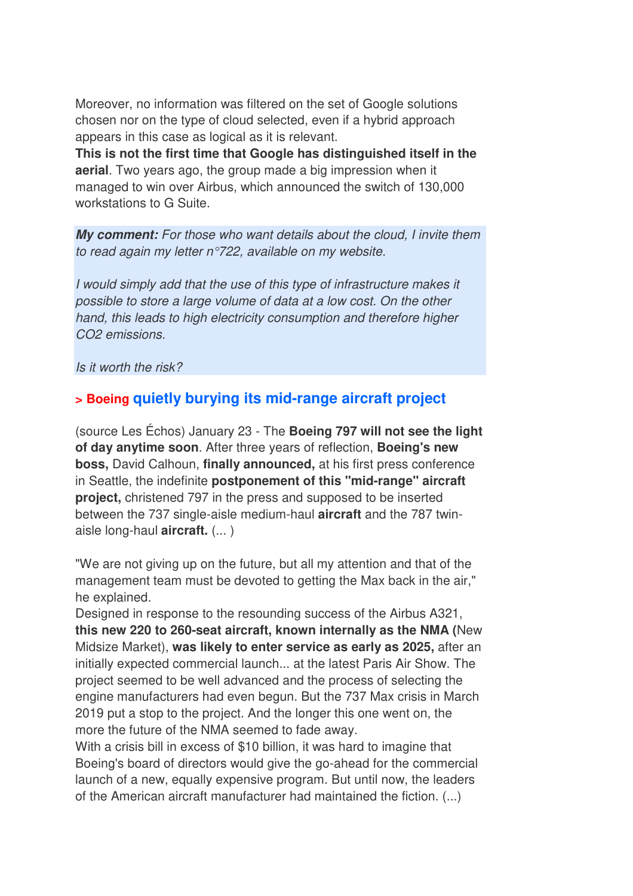Moreover, no information was filtered on the set of Google solutions chosen nor on the type of cloud selected, even if a hybrid approach appears in this case as logical as it is relevant.

**This is not the first time that Google has distinguished itself in the aerial**. Two years ago, the group made a big impression when it managed to win over Airbus, which announced the switch of 130,000 workstations to G Suite.

**My comment:** For those who want details about the cloud, I invite them to read again my letter n°722, available on my website.

I would simply add that the use of this type of infrastructure makes it possible to store a large volume of data at a low cost. On the other hand, this leads to high electricity consumption and therefore higher CO2 emissions.

Is it worth the risk?

## **> Boeing quietly burying its mid-range aircraft project**

(source Les Échos) January 23 - The **Boeing 797 will not see the light of day anytime soon**. After three years of reflection, **Boeing's new boss,** David Calhoun, **finally announced,** at his first press conference in Seattle, the indefinite **postponement of this "mid-range" aircraft project,** christened 797 in the press and supposed to be inserted between the 737 single-aisle medium-haul **aircraft** and the 787 twinaisle long-haul **aircraft.** (... )

"We are not giving up on the future, but all my attention and that of the management team must be devoted to getting the Max back in the air," he explained.

Designed in response to the resounding success of the Airbus A321, **this new 220 to 260-seat aircraft, known internally as the NMA (**New Midsize Market), **was likely to enter service as early as 2025,** after an initially expected commercial launch... at the latest Paris Air Show. The project seemed to be well advanced and the process of selecting the engine manufacturers had even begun. But the 737 Max crisis in March 2019 put a stop to the project. And the longer this one went on, the more the future of the NMA seemed to fade away.

With a crisis bill in excess of \$10 billion, it was hard to imagine that Boeing's board of directors would give the go-ahead for the commercial launch of a new, equally expensive program. But until now, the leaders of the American aircraft manufacturer had maintained the fiction. (...)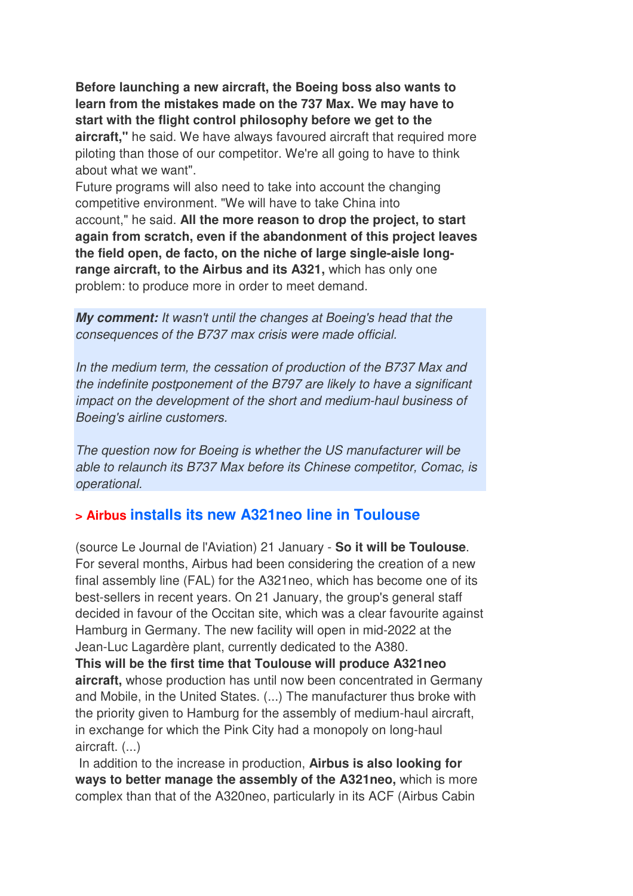**Before launching a new aircraft, the Boeing boss also wants to learn from the mistakes made on the 737 Max. We may have to start with the flight control philosophy before we get to the aircraft,"** he said. We have always favoured aircraft that required more piloting than those of our competitor. We're all going to have to think about what we want".

Future programs will also need to take into account the changing competitive environment. "We will have to take China into account," he said. **All the more reason to drop the project, to start again from scratch, even if the abandonment of this project leaves the field open, de facto, on the niche of large single-aisle longrange aircraft, to the Airbus and its A321,** which has only one problem: to produce more in order to meet demand.

**My comment:** It wasn't until the changes at Boeing's head that the consequences of the B737 max crisis were made official.

In the medium term, the cessation of production of the B737 Max and the indefinite postponement of the B797 are likely to have a significant impact on the development of the short and medium-haul business of Boeing's airline customers.

The question now for Boeing is whether the US manufacturer will be able to relaunch its B737 Max before its Chinese competitor, Comac, is operational.

#### **> Airbus installs its new A321neo line in Toulouse**

(source Le Journal de l'Aviation) 21 January - **So it will be Toulouse**. For several months, Airbus had been considering the creation of a new final assembly line (FAL) for the A321neo, which has become one of its best-sellers in recent years. On 21 January, the group's general staff decided in favour of the Occitan site, which was a clear favourite against Hamburg in Germany. The new facility will open in mid-2022 at the Jean-Luc Lagardère plant, currently dedicated to the A380.

**This will be the first time that Toulouse will produce A321neo aircraft,** whose production has until now been concentrated in Germany and Mobile, in the United States. (...) The manufacturer thus broke with the priority given to Hamburg for the assembly of medium-haul aircraft, in exchange for which the Pink City had a monopoly on long-haul aircraft. (...)

 In addition to the increase in production, **Airbus is also looking for ways to better manage the assembly of the A321neo,** which is more complex than that of the A320neo, particularly in its ACF (Airbus Cabin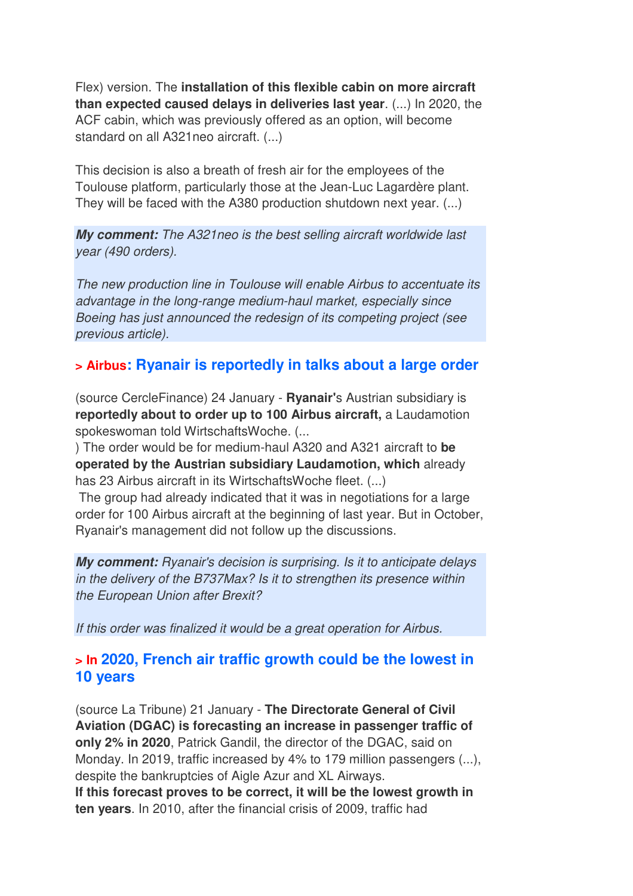Flex) version. The **installation of this flexible cabin on more aircraft than expected caused delays in deliveries last year**. (...) In 2020, the ACF cabin, which was previously offered as an option, will become standard on all A321neo aircraft. (...)

This decision is also a breath of fresh air for the employees of the Toulouse platform, particularly those at the Jean-Luc Lagardère plant. They will be faced with the A380 production shutdown next year. (...)

**My comment:** The A321neo is the best selling aircraft worldwide last year (490 orders).

The new production line in Toulouse will enable Airbus to accentuate its advantage in the long-range medium-haul market, especially since Boeing has just announced the redesign of its competing project (see previous article).

### **> Airbus: Ryanair is reportedly in talks about a large order**

(source CercleFinance) 24 January - **Ryanair'**s Austrian subsidiary is **reportedly about to order up to 100 Airbus aircraft,** a Laudamotion spokeswoman told WirtschaftsWoche. (...

) The order would be for medium-haul A320 and A321 aircraft to **be operated by the Austrian subsidiary Laudamotion, which** already has 23 Airbus aircraft in its WirtschaftsWoche fleet. (...)

 The group had already indicated that it was in negotiations for a large order for 100 Airbus aircraft at the beginning of last year. But in October, Ryanair's management did not follow up the discussions.

**My comment:** Ryanair's decision is surprising. Is it to anticipate delays in the delivery of the B737Max? Is it to strengthen its presence within the European Union after Brexit?

If this order was finalized it would be a great operation for Airbus.

#### **> In 2020, French air traffic growth could be the lowest in 10 years**

(source La Tribune) 21 January - **The Directorate General of Civil Aviation (DGAC) is forecasting an increase in passenger traffic of only 2% in 2020**, Patrick Gandil, the director of the DGAC, said on Monday. In 2019, traffic increased by 4% to 179 million passengers (...), despite the bankruptcies of Aigle Azur and XL Airways. **If this forecast proves to be correct, it will be the lowest growth in ten years**. In 2010, after the financial crisis of 2009, traffic had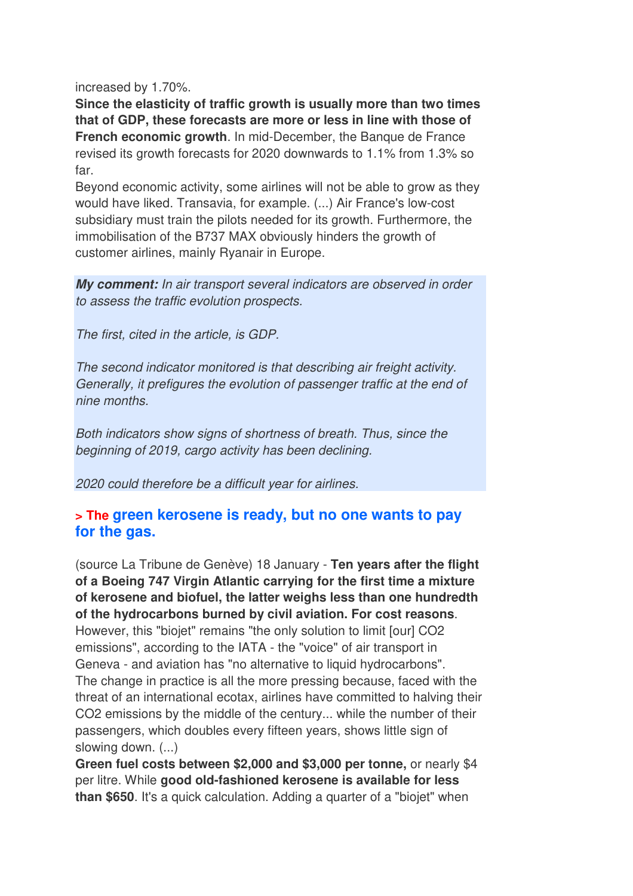increased by 1.70%.

**Since the elasticity of traffic growth is usually more than two times that of GDP, these forecasts are more or less in line with those of French economic growth**. In mid-December, the Banque de France revised its growth forecasts for 2020 downwards to 1.1% from 1.3% so far.

Beyond economic activity, some airlines will not be able to grow as they would have liked. Transavia, for example. (...) Air France's low-cost subsidiary must train the pilots needed for its growth. Furthermore, the immobilisation of the B737 MAX obviously hinders the growth of customer airlines, mainly Ryanair in Europe.

**My comment:** In air transport several indicators are observed in order to assess the traffic evolution prospects.

The first, cited in the article, is GDP.

The second indicator monitored is that describing air freight activity. Generally, it prefigures the evolution of passenger traffic at the end of nine months.

Both indicators show signs of shortness of breath. Thus, since the beginning of 2019, cargo activity has been declining.

2020 could therefore be a difficult year for airlines.

#### **> The green kerosene is ready, but no one wants to pay for the gas.**

(source La Tribune de Genève) 18 January - **Ten years after the flight of a Boeing 747 Virgin Atlantic carrying for the first time a mixture of kerosene and biofuel, the latter weighs less than one hundredth of the hydrocarbons burned by civil aviation. For cost reasons**. However, this "biojet" remains "the only solution to limit [our] CO2 emissions", according to the IATA - the "voice" of air transport in Geneva - and aviation has "no alternative to liquid hydrocarbons". The change in practice is all the more pressing because, faced with the threat of an international ecotax, airlines have committed to halving their CO2 emissions by the middle of the century... while the number of their passengers, which doubles every fifteen years, shows little sign of slowing down. (...)

**Green fuel costs between \$2,000 and \$3,000 per tonne,** or nearly \$4 per litre. While **good old-fashioned kerosene is available for less than \$650**. It's a quick calculation. Adding a quarter of a "biojet" when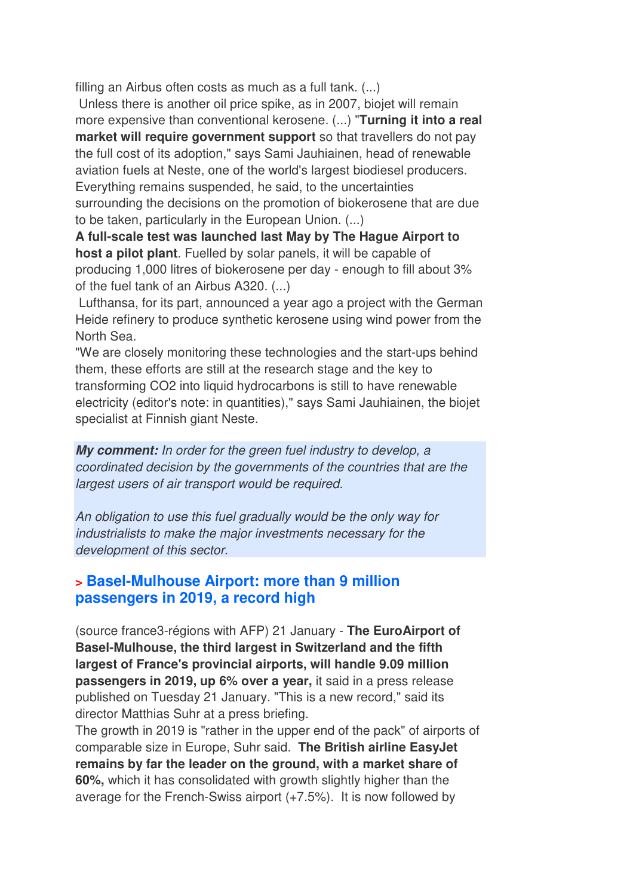filling an Airbus often costs as much as a full tank. (...)

 Unless there is another oil price spike, as in 2007, biojet will remain more expensive than conventional kerosene. (...) "**Turning it into a real market will require government support** so that travellers do not pay the full cost of its adoption," says Sami Jauhiainen, head of renewable aviation fuels at Neste, one of the world's largest biodiesel producers. Everything remains suspended, he said, to the uncertainties surrounding the decisions on the promotion of biokerosene that are due to be taken, particularly in the European Union. (...)

**A full-scale test was launched last May by The Hague Airport to host a pilot plant**. Fuelled by solar panels, it will be capable of producing 1,000 litres of biokerosene per day - enough to fill about 3% of the fuel tank of an Airbus A320. (...)

Lufthansa, for its part, announced a year ago a project with the German Heide refinery to produce synthetic kerosene using wind power from the North Sea.

"We are closely monitoring these technologies and the start-ups behind them, these efforts are still at the research stage and the key to transforming CO2 into liquid hydrocarbons is still to have renewable electricity (editor's note: in quantities)," says Sami Jauhiainen, the biojet specialist at Finnish giant Neste.

**My comment:** In order for the green fuel industry to develop, a coordinated decision by the governments of the countries that are the largest users of air transport would be required.

An obligation to use this fuel gradually would be the only way for industrialists to make the major investments necessary for the development of this sector.

#### **> Basel-Mulhouse Airport: more than 9 million passengers in 2019, a record high**

(source france3-régions with AFP) 21 January - **The EuroAirport of Basel-Mulhouse, the third largest in Switzerland and the fifth largest of France's provincial airports, will handle 9.09 million passengers in 2019, up 6% over a year,** it said in a press release published on Tuesday 21 January. "This is a new record," said its director Matthias Suhr at a press briefing.

The growth in 2019 is "rather in the upper end of the pack" of airports of comparable size in Europe, Suhr said. **The British airline EasyJet remains by far the leader on the ground, with a market share of 60%,** which it has consolidated with growth slightly higher than the average for the French-Swiss airport (+7.5%). It is now followed by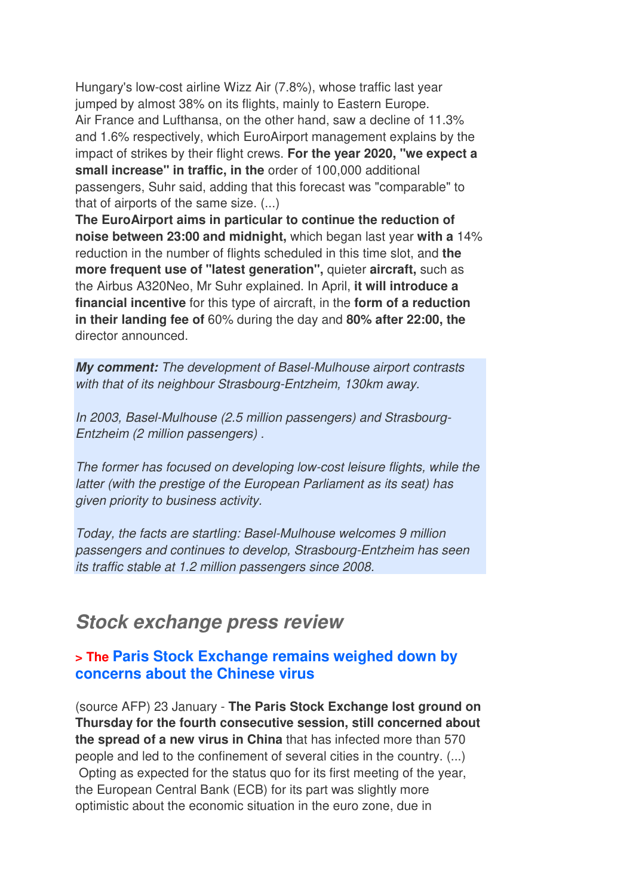Hungary's low-cost airline Wizz Air (7.8%), whose traffic last year jumped by almost 38% on its flights, mainly to Eastern Europe. Air France and Lufthansa, on the other hand, saw a decline of 11.3% and 1.6% respectively, which EuroAirport management explains by the impact of strikes by their flight crews. **For the year 2020, "we expect a small increase" in traffic, in the** order of 100,000 additional passengers, Suhr said, adding that this forecast was "comparable" to that of airports of the same size. (...)

**The EuroAirport aims in particular to continue the reduction of noise between 23:00 and midnight,** which began last year **with a** 14% reduction in the number of flights scheduled in this time slot, and **the more frequent use of "latest generation",** quieter **aircraft,** such as the Airbus A320Neo, Mr Suhr explained. In April, **it will introduce a financial incentive** for this type of aircraft, in the **form of a reduction in their landing fee of** 60% during the day and **80% after 22:00, the** director announced.

**My comment:** The development of Basel-Mulhouse airport contrasts with that of its neighbour Strasbourg-Entzheim, 130km away.

In 2003, Basel-Mulhouse (2.5 million passengers) and Strasbourg-Entzheim (2 million passengers) .

The former has focused on developing low-cost leisure flights, while the latter (with the prestige of the European Parliament as its seat) has given priority to business activity.

Today, the facts are startling: Basel-Mulhouse welcomes 9 million passengers and continues to develop, Strasbourg-Entzheim has seen its traffic stable at 1.2 million passengers since 2008.

## **Stock exchange press review**

#### **> The Paris Stock Exchange remains weighed down by concerns about the Chinese virus**

(source AFP) 23 January - **The Paris Stock Exchange lost ground on Thursday for the fourth consecutive session, still concerned about the spread of a new virus in China** that has infected more than 570 people and led to the confinement of several cities in the country. (...) Opting as expected for the status quo for its first meeting of the year, the European Central Bank (ECB) for its part was slightly more optimistic about the economic situation in the euro zone, due in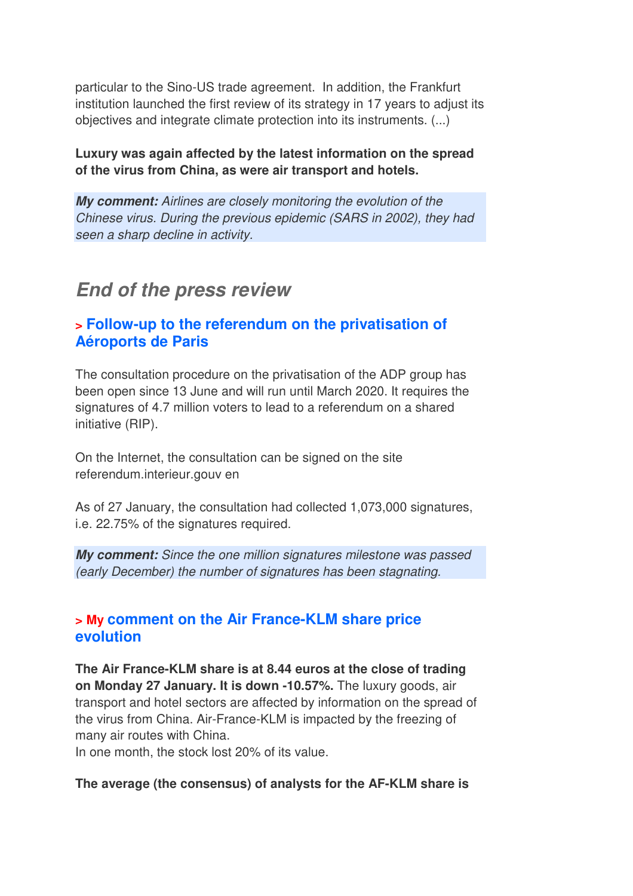particular to the Sino-US trade agreement. In addition, the Frankfurt institution launched the first review of its strategy in 17 years to adjust its objectives and integrate climate protection into its instruments. (...)

#### **Luxury was again affected by the latest information on the spread of the virus from China, as were air transport and hotels.**

**My comment:** Airlines are closely monitoring the evolution of the Chinese virus. During the previous epidemic (SARS in 2002), they had seen a sharp decline in activity.

## **End of the press review**

### **> Follow-up to the referendum on the privatisation of Aéroports de Paris**

The consultation procedure on the privatisation of the ADP group has been open since 13 June and will run until March 2020. It requires the signatures of 4.7 million voters to lead to a referendum on a shared initiative (RIP).

On the Internet, the consultation can be signed on the site referendum.interieur.gouv en

As of 27 January, the consultation had collected 1,073,000 signatures, i.e. 22.75% of the signatures required.

**My comment:** Since the one million signatures milestone was passed (early December) the number of signatures has been stagnating.

#### **> My comment on the Air France-KLM share price evolution**

**The Air France-KLM share is at 8.44 euros at the close of trading on Monday 27 January. It is down -10.57%.** The luxury goods, air transport and hotel sectors are affected by information on the spread of the virus from China. Air-France-KLM is impacted by the freezing of many air routes with China.

In one month, the stock lost 20% of its value.

#### **The average (the consensus) of analysts for the AF-KLM share is**